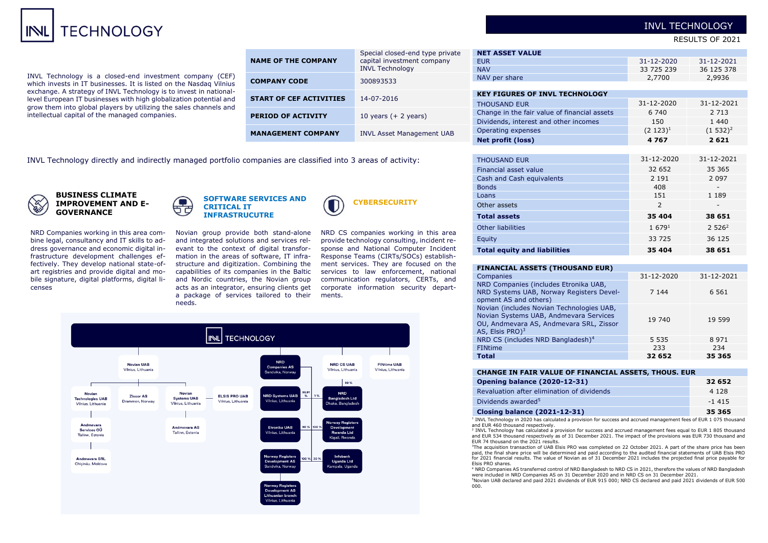# TECHNOLOGY

INVL Technology is a closed-end investment company (CEF) which invests in IT businesses. It is listed on the Nasdaq Vilnius exchange. A strategy of INVL Technology is to invest in nationallevel European IT businesses with high globalization potential and grow them into global players by utilizing the sales channels and intellectual capital of the managed companies.

| <b>NAME OF THE COMPANY</b>     | Special closed-end type private<br>capital investment company<br><b>INVL Technology</b> |
|--------------------------------|-----------------------------------------------------------------------------------------|
| <b>COMPANY CODE</b>            | 300893533                                                                               |
| <b>START OF CEF ACTIVITIES</b> | 14-07-2016                                                                              |
| <b>PERIOD OF ACTIVITY</b>      | 10 years $(+ 2$ years)                                                                  |
| <b>MANAGEMENT COMPANY</b>      | <b>INVL Asset Management UAB</b>                                                        |

**NET ASSET VALUE** EUR 31-12-2020 31-12-2021 NAV 33 725 239 36 125 378 NAV per share 2,9936 **KEY FIGURES OF INVL TECHNOLOGY** THOUSAND EUR 31-12-2020 31-12-2021 Change in the fair value of financial assets 6 740 2 713 Dividends, interest and other incomes 150 1 440 Operating expenses  $(2\ 123)^1$  $(1.532)^2$ **Net profit (loss) 4 767 2 621** THOUSAND EUR 31-12-2020 31-12-2021 Financial asset value 32 652 35 365 Cash and Cash equivalents 2 191 2 097 Bonds 408 - Loans 189 - 189 - 189 - 189 - 189 - 189 - 189 - 189 - 189 - 189 - 189 - 189 - 189 - 189 - 189 - 189 - 189 - 1 Other assets 2 - **Total assets 35 404 38 651**

INVL Technology directly and indirectly managed portfolio companies are classified into 3 areas of activity:



**BUSINESS CLIMATE IMPROVEMENT AND E-GOVERNANCE**

NRD Companies working in this area combine legal, consultancy and IT skills to address governance and economic digital infrastructure development challenges effectively. They develop national state-ofart registries and provide digital and mobile signature, digital platforms, digital licenses



Novian group provide both stand-alone and integrated solutions and services relevant to the context of digital transformation in the areas of software, IT infrastructure and digitization. Combining the capabilities of its companies in the Baltic and Nordic countries, the Novian group acts as an integrator, ensuring clients get a package of services tailored to their needs.

NRD CS companies working in this area provide technology consulting, incident response and National Computer Incident Response Teams (CIRTs/SOCs) establishment services. They are focused on the services to law enforcement, national communication regulators, CERTs, and corporate information security departments.

**CYBERSECURITY**



#### **FINANCIAL ASSETS (THOUSAND EUR)**

| Companies                                                                                                                                                     | 31-12-2020 | 31-12-2021 |
|---------------------------------------------------------------------------------------------------------------------------------------------------------------|------------|------------|
| NRD Companies (includes Etronika UAB,<br>NRD Systems UAB, Norway Registers Devel-<br>opment AS and others)                                                    | 7 1 4 4    | 6 5 6 1    |
| Novian (includes Novian Technologies UAB,<br>Novian Systems UAB, Andmevara Services<br>OU, Andmevara AS, Andmevara SRL, Zissor<br>AS, Elsis PRO) <sup>3</sup> | 19 740     | 19 599     |
| NRD CS (includes NRD Bangladesh) <sup>4</sup>                                                                                                                 | 5 5 3 5    | 8971       |
| <b>FINtime</b>                                                                                                                                                | 233        | 234        |
| <b>Total</b>                                                                                                                                                  | 32 652     | 35 365     |

Other liabilities  $1679<sup>1</sup>$   $1679<sup>1</sup>$   $2526<sup>2</sup>$ Equity 33 725 36 125 **Total equity and liabilities 35 404 38 651** 

#### **CHANGE IN FAIR VALUE OF FINANCIAL ASSETS, THOUS. EUR**

| <b>Opening balance (2020-12-31)</b>        | 32 652  |
|--------------------------------------------|---------|
| Revaluation after elimination of dividends | 4 1 2 8 |
| Dividends awarded <sup>5</sup>             | $-1415$ |
| <b>Closing balance (2021-12-31)</b>        | 35 365  |

<sup>1</sup> INVL Technology in 2020 has calculated a provision for success and accrued management fees of EUR 1 075 thousand and EUR 460 thousand respectively.

<sup>2</sup> INVL Technology has calculated a provision for success and accrued management fees equal to EUR 1 805 thousand and EUR 534 thousand respectively as of 31 December 2021. The impact of the provisions was EUR 730 thousand and EUR 74 thousand on the 2021 results.

<sup>3</sup>The acquisition transaction of UAB Elsis PRO was completed on 22 October 2021. A part of the share price has been paid, the final share price will be determined and paid according to the audited financial statements of UAB Elsis PRO for 2021 financial results. The value of Novian as of 31 December 2021 includes the projected final price payable for Elsis PRO shares.

<sup>4</sup> NRD Companies AS transferred control of NRD Bangladesh to NRD CS in 2021, therefore the values of NRD Bangladesh were included in NRD Companies AS on 31 December 2020 and in NRD CS on 31 December 2021.

<sup>5</sup>Novian UAB declared and paid 2021 dividends of EUR 915 000; NRD CS declared and paid 2021 dividends of EUR 500 000.

# INVL TECHNOLOGY

RESULTS OF 2021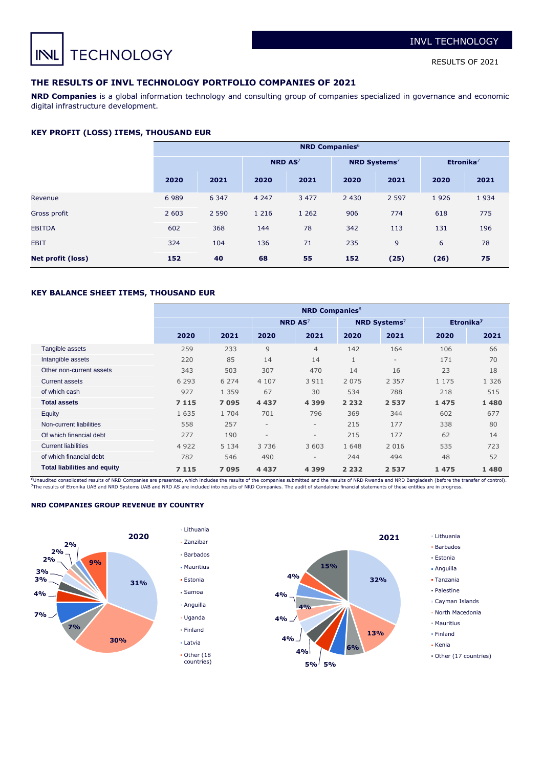**TECHNOLOGY** INL

RESULTS OF 2021

# **THE RESULTS OF INVL TECHNOLOGY PORTFOLIO COMPANIES OF 2021**

**NRD Companies** is a global information technology and consulting group of companies specialized in governance and economic digital infrastructure development.

#### **KEY PROFIT (LOSS) ITEMS, THOUSAND EUR**

|                          | <b>NRD Companies</b> <sup>6</sup> |         |                           |         |                                 |         |                       |      |  |  |
|--------------------------|-----------------------------------|---------|---------------------------|---------|---------------------------------|---------|-----------------------|------|--|--|
|                          |                                   |         | <b>NRD AS<sup>7</sup></b> |         | <b>NRD Systems</b> <sup>7</sup> |         | Etronika <sup>7</sup> |      |  |  |
|                          | 2020                              | 2021    | 2020                      | 2021    | 2020                            | 2021    | 2020                  | 2021 |  |  |
| Revenue                  | 6989                              | 6 3 4 7 | 4 2 4 7                   | 3 4 7 7 | 2 4 3 0                         | 2 5 9 7 | 1926                  | 1934 |  |  |
| Gross profit             | 2 6 0 3                           | 2 5 9 0 | 1 2 1 6                   | 1 2 6 2 | 906                             | 774     | 618                   | 775  |  |  |
| <b>EBITDA</b>            | 602                               | 368     | 144                       | 78      | 342                             | 113     | 131                   | 196  |  |  |
| <b>EBIT</b>              | 324                               | 104     | 136                       | 71      | 235                             | 9       | 6                     | 78   |  |  |
| <b>Net profit (loss)</b> | 152                               | 40      | 68                        | 55      | 152                             | (25)    | (26)                  | 75   |  |  |

#### **KEY BALANCE SHEET ITEMS, THOUSAND EUR**

|                                     | <b>NRD Companies</b> <sup>6</sup> |         |                          |                           |              |                                 |                       |         |  |  |  |
|-------------------------------------|-----------------------------------|---------|--------------------------|---------------------------|--------------|---------------------------------|-----------------------|---------|--|--|--|
|                                     |                                   |         |                          | <b>NRD AS<sup>7</sup></b> |              | <b>NRD Systems</b> <sup>7</sup> | Etronika <sup>7</sup> |         |  |  |  |
|                                     | 2020                              | 2021    | 2020                     | 2021                      | 2020         | 2021                            | 2020                  | 2021    |  |  |  |
| Tangible assets                     | 259                               | 233     | 9                        | $\overline{4}$            | 142          | 164                             | 106                   | 66      |  |  |  |
| Intangible assets                   | 220                               | 85      | 14                       | 14                        | $\mathbf{1}$ | $\overline{\phantom{a}}$        | 171                   | 70      |  |  |  |
| Other non-current assets            | 343                               | 503     | 307                      | 470                       | 14           | 16                              | 23                    | 18      |  |  |  |
| <b>Current assets</b>               | 6 2 9 3                           | 6 2 7 4 | 4 107                    | 3 9 1 1                   | 2 0 7 5      | 2 3 5 7                         | 1 1 7 5               | 1 3 2 6 |  |  |  |
| of which cash                       | 927                               | 1 3 5 9 | 67                       | 30                        | 534          | 788                             | 218                   | 515     |  |  |  |
| <b>Total assets</b>                 | 7 1 1 5                           | 7095    | 4 4 3 7                  | 4 3 9 9                   | 2 2 3 2      | 2537                            | 1475                  | 1480    |  |  |  |
| Equity                              | 1 6 3 5                           | 1 704   | 701                      | 796                       | 369          | 344                             | 602                   | 677     |  |  |  |
| Non-current liabilities             | 558                               | 257     | $\overline{\phantom{a}}$ | $\overline{\phantom{a}}$  | 215          | 177                             | 338                   | 80      |  |  |  |
| Of which financial debt             | 277                               | 190     | $\overline{\phantom{a}}$ | $\overline{\phantom{a}}$  | 215          | 177                             | 62                    | 14      |  |  |  |
| <b>Current liabilities</b>          | 4 9 2 2                           | 5 1 3 4 | 3736                     | 3 603                     | 1 6 4 8      | 2 0 1 6                         | 535                   | 723     |  |  |  |
| of which financial debt             | 782                               | 546     | 490                      | $\overline{\phantom{a}}$  | 244          | 494                             | 48                    | 52      |  |  |  |
| <b>Total liabilities and equity</b> | 7 1 1 5                           | 7095    | 4 4 3 7                  | 4 3 9 9                   | 2 2 3 2      | 2537                            | 1475                  | 1480    |  |  |  |

<sup>6</sup>Unaudited consolidated results of NRD Companies are presented, which includes the results of the companies submitted and the results of NRD Rwanda and NRD Bangladesh (before the transfer of control).<br><sup>7</sup>The results of E

#### **NRD COMPANIES GROUP REVENUE BY COUNTRY**





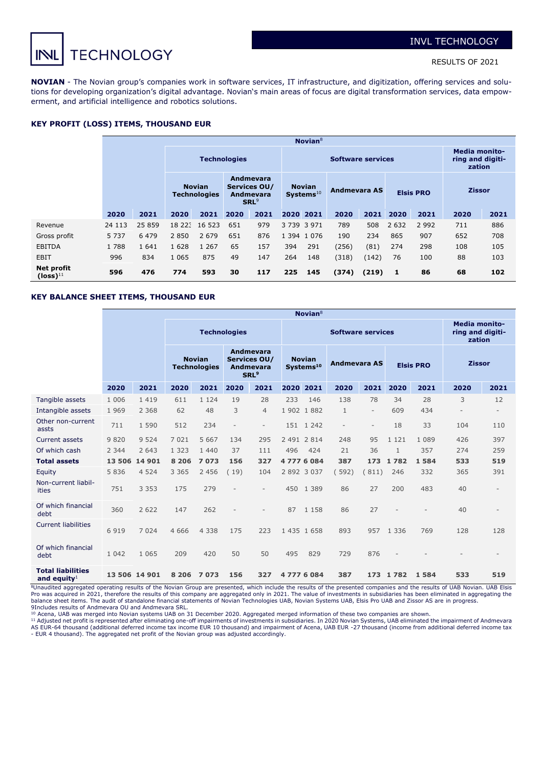

**NOVIAN** - The Novian group's companies work in software services, IT infrastructure, and digitization, offering services and solutions for developing organization's digital advantage. Novian's main areas of focus are digital transformation services, data empowerment, and artificial intelligence and robotics solutions.

### **KEY PROFIT (LOSS) ITEMS, THOUSAND EUR**

|                             |         | Novian <sup>8</sup> |                     |                                      |                                                                   |      |     |                                     |                                                    |       |                  |         |               |      |
|-----------------------------|---------|---------------------|---------------------|--------------------------------------|-------------------------------------------------------------------|------|-----|-------------------------------------|----------------------------------------------------|-------|------------------|---------|---------------|------|
|                             |         |                     | <b>Technologies</b> |                                      |                                                                   |      |     |                                     | <b>Media monito-</b><br>ring and digiti-<br>zation |       |                  |         |               |      |
|                             |         |                     |                     | <b>Novian</b><br><b>Technologies</b> | Andmevara<br>Services OU/<br><b>Andmevara</b><br>SRL <sup>9</sup> |      |     | <b>Novian</b><br>$S$ ystems $^{10}$ | Andmevara AS                                       |       | <b>Elsis PRO</b> |         | <b>Zissor</b> |      |
|                             | 2020    | 2021                | 2020                | 2021                                 | 2020                                                              | 2021 |     | 2020 2021                           | 2020                                               | 2021  | 2020             | 2021    | 2020          | 2021 |
| Revenue                     | 24 113  | 25 859              | 18 223              | 16 523                               | 651                                                               | 979  |     | 3 7 3 9 3 9 7 1                     | 789                                                | 508   | 2 6 3 2          | 2 9 9 2 | 711           | 886  |
| Gross profit                | 5 7 3 7 | 6 4 7 9             | 2 8 5 0             | 2 6 7 9                              | 651                                                               | 876  |     | 1 394 1 0 76                        | 190                                                | 234   | 865              | 907     | 652           | 708  |
| <b>EBITDA</b>               | 1788    | 1 6 4 1             | 1 6 2 8             | 1 2 6 7                              | 65                                                                | 157  | 394 | 291                                 | (256)                                              | (81)  | 274              | 298     | 108           | 105  |
| <b>EBIT</b>                 | 996     | 834                 | 1 0 6 5             | 875                                  | 49                                                                | 147  | 264 | 148                                 | (318)                                              | (142) | 76               | 100     | 88            | 103  |
| Net profit<br>$(logs)^{11}$ | 596     | 476                 | 774                 | 593                                  | 30                                                                | 117  | 225 | 145                                 | (374)                                              | (219) | 1                | 86      | 68            | 102  |

# **KEY BALANCE SHEET ITEMS, THOUSAND EUR**

|                                            | Novian $8$ |               |                     |                                      |                          |                                                                          |     |                                        |                                                    |                          |              |                  |               |                          |
|--------------------------------------------|------------|---------------|---------------------|--------------------------------------|--------------------------|--------------------------------------------------------------------------|-----|----------------------------------------|----------------------------------------------------|--------------------------|--------------|------------------|---------------|--------------------------|
|                                            |            |               | <b>Technologies</b> |                                      |                          |                                                                          |     |                                        | <b>Media monito-</b><br>ring and digiti-<br>zation |                          |              |                  |               |                          |
|                                            |            |               |                     | <b>Novian</b><br><b>Technologies</b> |                          | <b>Andmevara</b><br>Services OU/<br><b>Andmevara</b><br>SRL <sup>9</sup> |     | <b>Novian</b><br>Systems <sup>10</sup> | <b>Andmevara AS</b>                                |                          |              | <b>Elsis PRO</b> | <b>Zissor</b> |                          |
|                                            | 2020       | 2021          | 2020                | 2021                                 | 2020                     | 2021                                                                     |     | 2020 2021                              | 2020                                               | 2021                     | 2020         | 2021             | 2020          | 2021                     |
| Tangible assets                            | 1 0 0 6    | 1419          | 611                 | 1 1 2 4                              | 19                       | 28                                                                       | 233 | 146                                    | 138                                                | 78                       | 34           | 28               | 3             | 12                       |
| Intangible assets                          | 1 9 6 9    | 2 3 6 8       | 62                  | 48                                   | 3                        | 4                                                                        |     | 1902 1882                              | $\mathbf{1}$                                       | $\overline{\phantom{a}}$ | 609          | 434              |               | $\overline{\phantom{a}}$ |
| Other non-current<br>assts                 | 711        | 1 5 9 0       | 512                 | 234                                  | $\overline{\phantom{a}}$ | $\overline{\phantom{a}}$                                                 |     | 151 1242                               | $\overline{\phantom{a}}$                           | $\sim$                   | 18           | 33               | 104           | 110                      |
| <b>Current assets</b>                      | 9820       | 9 5 2 4       | 7 0 2 1             | 5 6 6 7                              | 134                      | 295                                                                      |     | 2 491 2 814                            | 248                                                | 95                       | 1 1 2 1      | 1 089            | 426           | 397                      |
| Of which cash                              | 2 3 4 4    | 2 643         | 1 3 2 3             | 1 4 4 0                              | 37                       | 111                                                                      | 496 | 424                                    | 21                                                 | 36                       | $\mathbf{1}$ | 357              | 274           | 259                      |
| <b>Total assets</b>                        | 13 506     | 14 9 0 1      | 8 2 0 6             | 7073                                 | 156                      | 327                                                                      |     | 47776084                               | 387                                                |                          | 173 1 782    | 1584             | 533           | 519                      |
| Equity                                     | 5836       | 4 5 2 4       | 3 3 6 5             | 2 4 5 6                              | (19)                     | 104                                                                      |     | 2 892 3 0 37                           | 592)                                               | (811)                    | 246          | 332              | 365           | 391                      |
| Non-current liabil-<br>ities               | 751        | 3 3 5 3       | 175                 | 279                                  | $\overline{\phantom{a}}$ | $\overline{\phantom{0}}$                                                 | 450 | 1 3 8 9                                | 86                                                 | 27                       | 200          | 483              | 40            |                          |
| Of which financial<br>debt                 | 360        | 2 6 2 2       | 147                 | 262                                  | $\overline{\phantom{a}}$ | $\overline{\phantom{a}}$                                                 | 87  | 1 1 5 8                                | 86                                                 | 27                       |              |                  | 40            | ٠                        |
| <b>Current liabilities</b>                 | 6919       | 7 0 2 4       | 4 6 6 6             | 4 3 3 8                              | 175                      | 223                                                                      |     | 1 435 1 658                            | 893                                                | 957                      | 1 3 3 6      | 769              | 128           | 128                      |
| Of which financial<br>debt                 | 1 0 4 2    | 1 0 6 5       | 209                 | 420                                  | 50                       | 50                                                                       | 495 | 829                                    | 729                                                | 876                      |              |                  |               | $\overline{\phantom{a}}$ |
| <b>Total liabilities</b><br>and equity $1$ |            | 13 506 14 901 | 8 2 0 6             | 7073                                 | 156                      | 327                                                                      |     | 47776084                               | 387                                                | 173                      | 1782         | 1 5 8 4          | 533           | 519                      |

<sup>8</sup>Unaudited aggregated operating results of the Novian Group are presented, which include the results of the presented companies and the results of UAB Novian. UAB Elsis<br>Pro was acquired in 2021, therefore the results of balance sheet items. The audit of standalone financial statements of Novian Technologies UAB, Novian Systems UAB, Elsis Pro UAB and Zissor AS are in progress.

9Includes results of Andmevara OU and Andmevara SRL.<br><sup>10</sup> Acena, UAB was merged into Novian systems UAB on 31 December 2020. Aggregated merged information of these two companies are shown.<br><sup>11</sup> Adjusted net profit is repre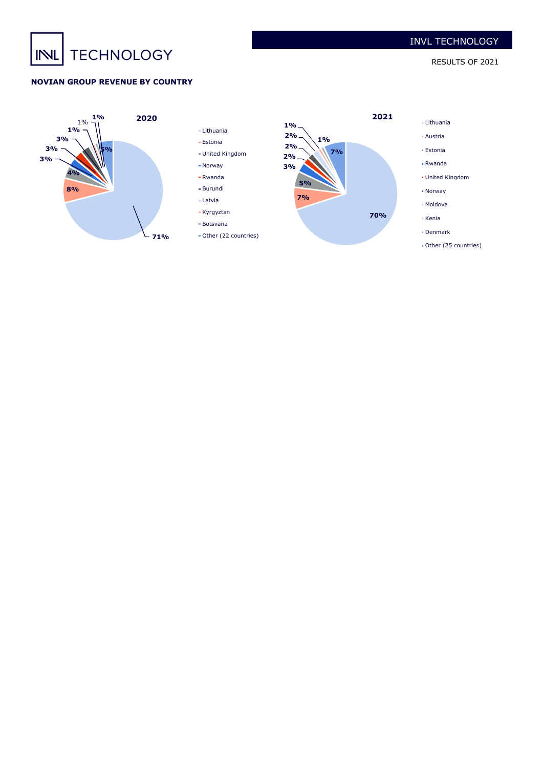# **TECHNOLOGY** INL

RESULTS OF 2021

# **NOVIAN GROUP REVENUE BY COUNTRY**